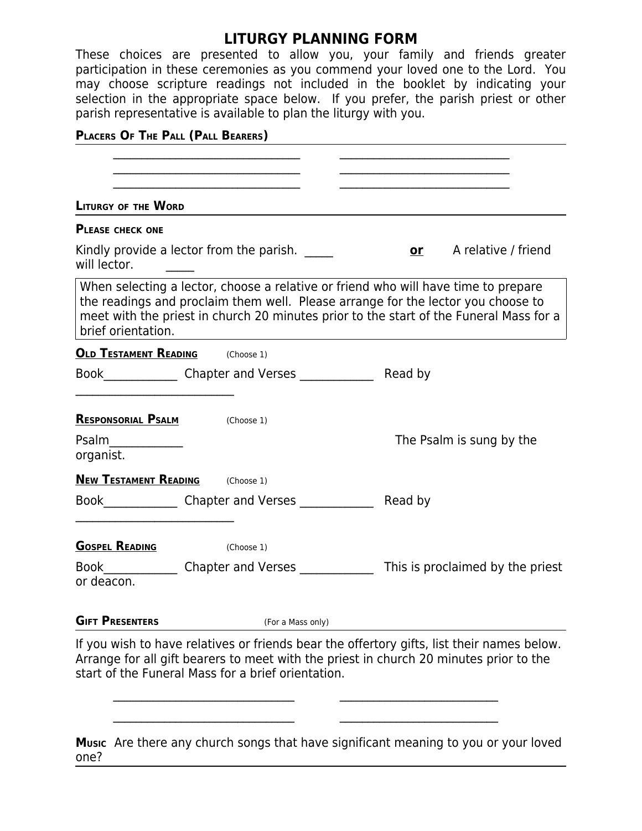## **LITURGY PLANNING FORM**

These choices are presented to allow you, your family and friends greater participation in these ceremonies as you commend your loved one to the Lord. You may choose scripture readings not included in the booklet by indicating your selection in the appropriate space below. If you prefer, the parish priest or other parish representative is available to plan the liturgy with you.

## **PLACERS O<sup>F</sup> THE PALL (PALL BEARERS)**

| <b>LITURGY OF THE WORD</b>              |                                                    |                                                                                                                                                                                                                                                                  |
|-----------------------------------------|----------------------------------------------------|------------------------------------------------------------------------------------------------------------------------------------------------------------------------------------------------------------------------------------------------------------------|
| <b>PLEASE CHECK ONE</b>                 |                                                    |                                                                                                                                                                                                                                                                  |
| will lector.                            | Kindly provide a lector from the parish.           | A relative / friend<br><b>or</b>                                                                                                                                                                                                                                 |
| brief orientation.                      |                                                    | When selecting a lector, choose a relative or friend who will have time to prepare<br>the readings and proclaim them well. Please arrange for the lector you choose to<br>meet with the priest in church 20 minutes prior to the start of the Funeral Mass for a |
| <b>OLD TESTAMENT READING</b> (Choose 1) |                                                    |                                                                                                                                                                                                                                                                  |
|                                         | Book Chapter and Verses                            | Read by                                                                                                                                                                                                                                                          |
| <b>RESPONSORIAL PSALM</b>               | (Choose 1)                                         |                                                                                                                                                                                                                                                                  |
| Psalm<br>organist.                      |                                                    | The Psalm is sung by the                                                                                                                                                                                                                                         |
| <b>NEW TESTAMENT READING</b> (Choose 1) |                                                    |                                                                                                                                                                                                                                                                  |
|                                         | Book Chapter and Verses                            | Read by                                                                                                                                                                                                                                                          |
| <b>GOSPEL READING</b>                   | (Choose 1)                                         |                                                                                                                                                                                                                                                                  |
| Book<br>or deacon.                      | Chapter and Verses ____                            | This is proclaimed by the priest                                                                                                                                                                                                                                 |
| <b>GIFT PRESENTERS</b>                  | (For a Mass only)                                  |                                                                                                                                                                                                                                                                  |
|                                         | start of the Funeral Mass for a brief orientation. | If you wish to have relatives or friends bear the offertory gifts, list their names below.<br>Arrange for all gift bearers to meet with the priest in church 20 minutes prior to the                                                                             |
|                                         |                                                    | Music Are there any church songs that have significant meaning to you or your loved                                                                                                                                                                              |

one?